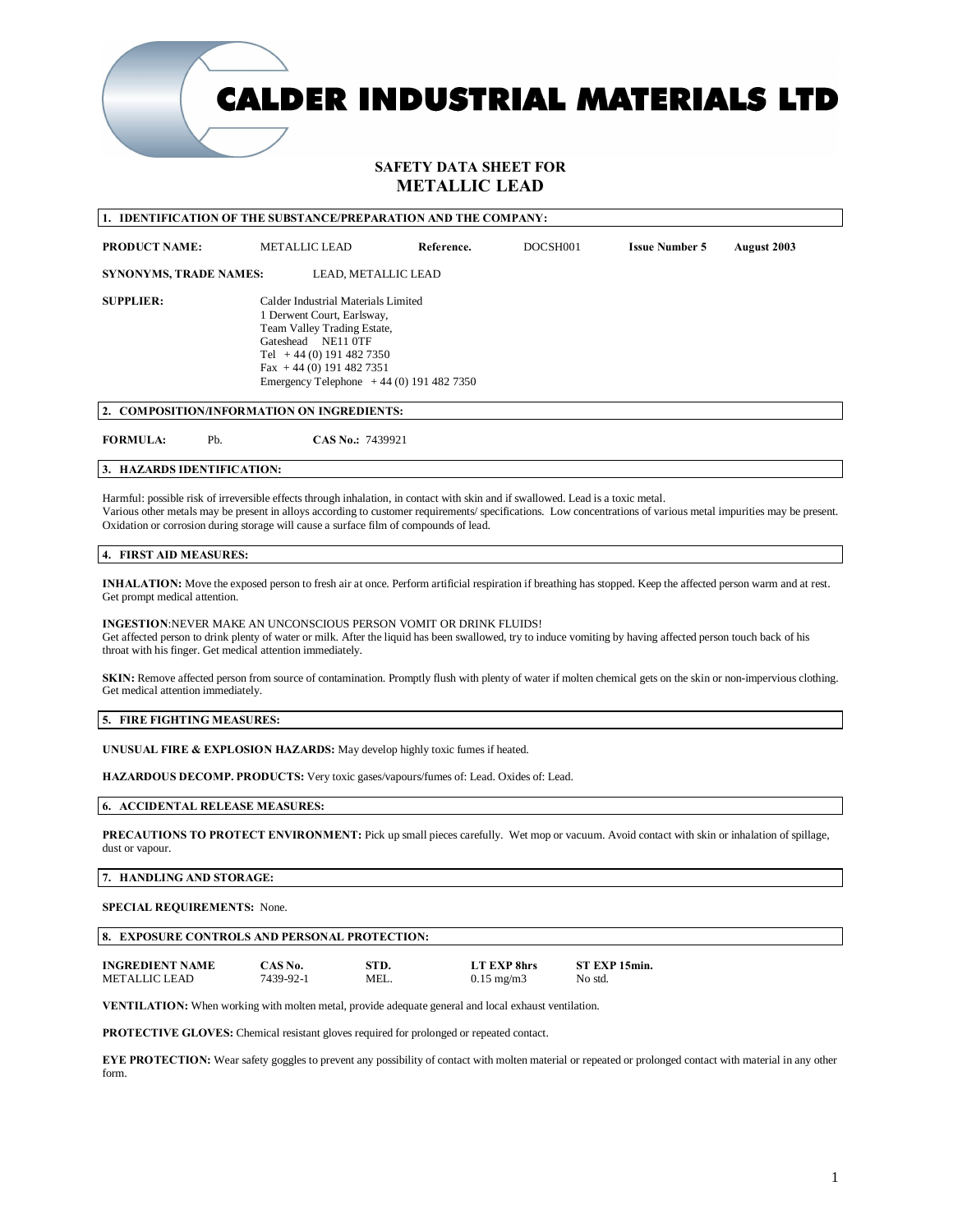**CALDER INDUSTRIAL MATERIALS LTD** 

# **SAFETY DATA SHEET FOR METALLIC LEAD**

| <b>IDENTIFICATION OF THE SUBSTANCE/PREPARATION AND THE COMPANY:</b>                                                                                                                                                                                                                                                                                                                           |     |                                                                                                                                                                                                                              |            |          |                       |             |
|-----------------------------------------------------------------------------------------------------------------------------------------------------------------------------------------------------------------------------------------------------------------------------------------------------------------------------------------------------------------------------------------------|-----|------------------------------------------------------------------------------------------------------------------------------------------------------------------------------------------------------------------------------|------------|----------|-----------------------|-------------|
| <b>PRODUCT NAME:</b>                                                                                                                                                                                                                                                                                                                                                                          |     | <b>METALLIC LEAD</b>                                                                                                                                                                                                         | Reference. | DOCSH001 | <b>Issue Number 5</b> | August 2003 |
| <b>SYNONYMS, TRADE NAMES:</b>                                                                                                                                                                                                                                                                                                                                                                 |     | LEAD, METALLIC LEAD                                                                                                                                                                                                          |            |          |                       |             |
| <b>SUPPLIER:</b>                                                                                                                                                                                                                                                                                                                                                                              |     | Calder Industrial Materials Limited<br>1 Derwent Court, Earlsway,<br>Team Valley Trading Estate,<br>Gateshead NE11 0TF<br>Tel $+44(0)$ 191 482 7350<br>Fax +44 (0) 191 482 7351<br>Emergency Telephone $+44(0)$ 191 482 7350 |            |          |                       |             |
| 2. COMPOSITION/INFORMATION ON INGREDIENTS:                                                                                                                                                                                                                                                                                                                                                    |     |                                                                                                                                                                                                                              |            |          |                       |             |
| <b>FORMULA:</b>                                                                                                                                                                                                                                                                                                                                                                               | Pb. | CAS No.: 7439921                                                                                                                                                                                                             |            |          |                       |             |
| 3. HAZARDS IDENTIFICATION:                                                                                                                                                                                                                                                                                                                                                                    |     |                                                                                                                                                                                                                              |            |          |                       |             |
| Harmful: possible risk of irreversible effects through inhalation, in contact with skin and if swallowed. Lead is a toxic metal.<br>Various other metals may be present in alloys according to customer requirements/ specifications. Low concentrations of various metal impurities may be present.<br>Oxidation or corrosion during storage will cause a surface film of compounds of lead. |     |                                                                                                                                                                                                                              |            |          |                       |             |
| 4. FIRST AID MEASURES:                                                                                                                                                                                                                                                                                                                                                                        |     |                                                                                                                                                                                                                              |            |          |                       |             |
| <b>INHALATION:</b> Move the exposed person to fresh air at once. Perform artificial respiration if breathing has stopped. Keep the affected person warm and at rest.<br>Get prompt medical attention.                                                                                                                                                                                         |     |                                                                                                                                                                                                                              |            |          |                       |             |
| <b>INGESTION:NEVER MAKE AN UNCONSCIOUS PERSON VOMIT OR DRINK FLUIDS!</b><br>Get affected person to drink plenty of water or milk. After the liquid has been swallowed, try to induce vomiting by having affected person touch back of his<br>throat with his finger. Get medical attention immediately.                                                                                       |     |                                                                                                                                                                                                                              |            |          |                       |             |
| SKIN: Remove affected person from source of contamination. Promptly flush with plenty of water if molten chemical gets on the skin or non-impervious clothing.<br>Get medical attention immediately.                                                                                                                                                                                          |     |                                                                                                                                                                                                                              |            |          |                       |             |
| 5. FIRE FIGHTING MEASURES:                                                                                                                                                                                                                                                                                                                                                                    |     |                                                                                                                                                                                                                              |            |          |                       |             |
| <b>UNUSUAL FIRE &amp; EXPLOSION HAZARDS:</b> May develop highly toxic fumes if heated.                                                                                                                                                                                                                                                                                                        |     |                                                                                                                                                                                                                              |            |          |                       |             |
| HAZARDOUS DECOMP. PRODUCTS: Very toxic gases/vapours/fumes of: Lead. Oxides of: Lead.                                                                                                                                                                                                                                                                                                         |     |                                                                                                                                                                                                                              |            |          |                       |             |
| <b>6. ACCIDENTAL RELEASE MEASURES:</b>                                                                                                                                                                                                                                                                                                                                                        |     |                                                                                                                                                                                                                              |            |          |                       |             |

**PRECAUTIONS TO PROTECT ENVIRONMENT:** Pick up small pieces carefully. Wet mop or vacuum. Avoid contact with skin or inhalation of spillage, dust or vapour.

#### **7. HANDLING AND STORAGE:**

#### **SPECIAL REQUIREMENTS:** None.

| 8. EXPOSURE CONTROLS AND PERSONAL PROTECTION: |           |      |                     |               |  |  |  |  |
|-----------------------------------------------|-----------|------|---------------------|---------------|--|--|--|--|
| <b>INGREDIENT NAME</b>                        | CAS No.   | STD. | LT EXP 8hrs         | ST EXP 15min. |  |  |  |  |
| METALLIC LEAD                                 | 7439-92-1 | MEL. | $0.15 \text{ mg/m}$ | No std.       |  |  |  |  |

**VENTILATION:** When working with molten metal, provide adequate general and local exhaust ventilation.

**PROTECTIVE GLOVES:** Chemical resistant gloves required for prolonged or repeated contact.

**EYE PROTECTION:** Wear safety goggles to prevent any possibility of contact with molten material or repeated or prolonged contact with material in any other form.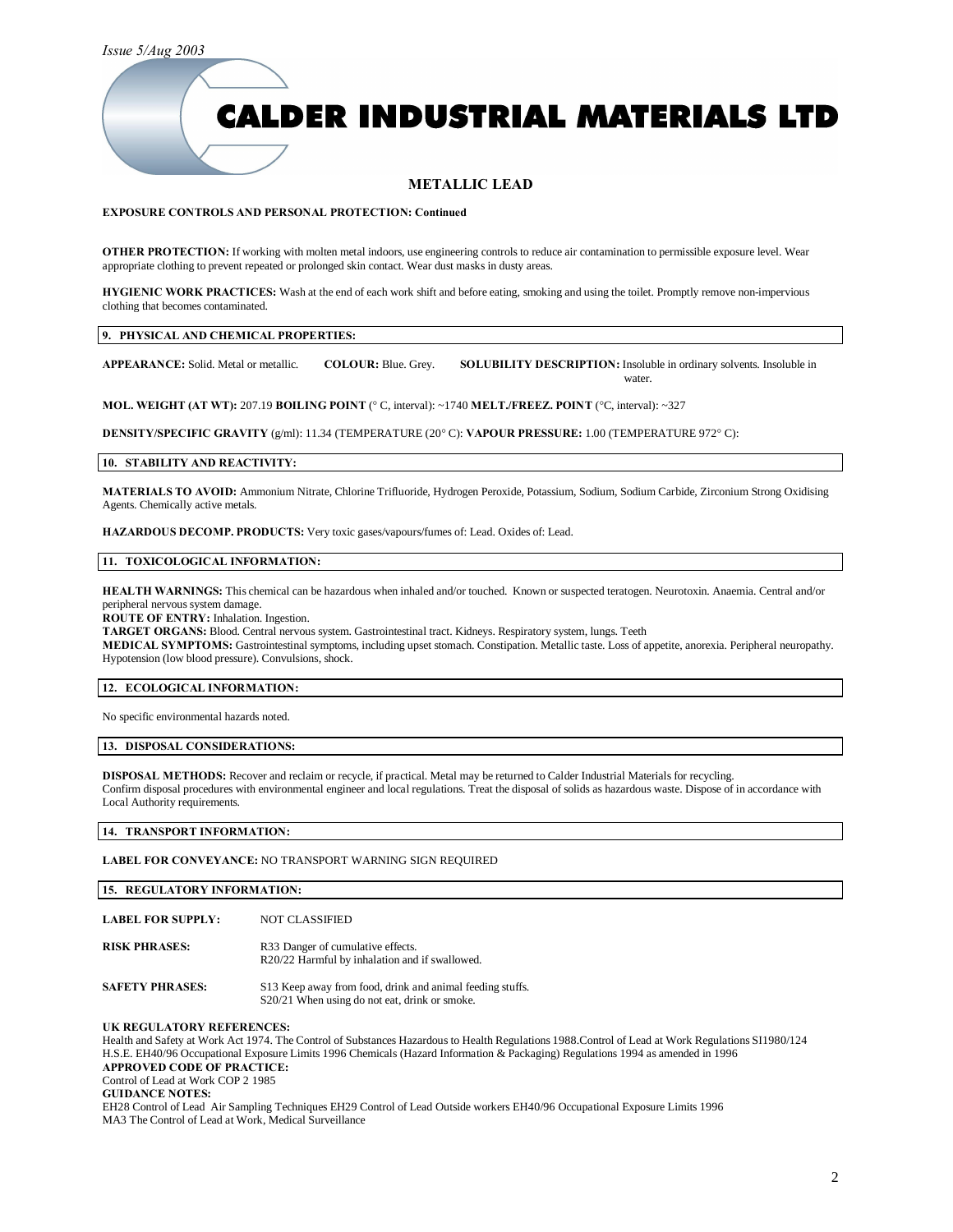*Issue 5/Aug 2003*

# **CALDER INDUSTRIAL MATERIALS LTD**

## **METALLIC LEAD**

#### **EXPOSURE CONTROLS AND PERSONAL PROTECTION: Continued**

**OTHER PROTECTION:** If working with molten metal indoors, use engineering controls to reduce air contamination to permissible exposure level. Wear appropriate clothing to prevent repeated or prolonged skin contact. Wear dust masks in dusty areas.

**HYGIENIC WORK PRACTICES:** Wash at the end of each work shift and before eating, smoking and using the toilet. Promptly remove non-impervious clothing that becomes contaminated.

#### **9. PHYSICAL AND CHEMICAL PROPERTIES:**

**APPEARANCE:** Solid. Metal or metallic. **COLOUR:** Blue. Grey. **SOLUBILITY DESCRIPTION:** Insoluble in ordinary solvents. Insoluble in water.

**MOL. WEIGHT (AT WT):** 207.19 **BOILING POINT** (° C, interval): ~1740 **MELT./FREEZ. POINT** (°C, interval): ~327

**DENSITY/SPECIFIC GRAVITY** (g/ml): 11.34 (TEMPERATURE (20° C): **VAPOUR PRESSURE:** 1.00 (TEMPERATURE 972° C):

#### **10. STABILITY AND REACTIVITY:**

**MATERIALS TO AVOID:** Ammonium Nitrate, Chlorine Trifluoride, Hydrogen Peroxide, Potassium, Sodium, Sodium Carbide, Zirconium Strong Oxidising Agents. Chemically active metals.

**HAZARDOUS DECOMP. PRODUCTS:** Very toxic gases/vapours/fumes of: Lead. Oxides of: Lead.

#### **11. TOXICOLOGICAL INFORMATION:**

**HEALTH WARNINGS:** This chemical can be hazardous when inhaled and/or touched. Known or suspected teratogen. Neurotoxin. Anaemia. Central and/or peripheral nervous system damage.

**ROUTE OF ENTRY:** Inhalation. Ingestion.

**TARGET ORGANS:** Blood. Central nervous system. Gastrointestinal tract. Kidneys. Respiratory system, lungs. Teeth

**MEDICAL SYMPTOMS:** Gastrointestinal symptoms, including upset stomach. Constipation. Metallic taste. Loss of appetite, anorexia. Peripheral neuropathy. Hypotension (low blood pressure). Convulsions, shock.

#### **12. ECOLOGICAL INFORMATION:**

No specific environmental hazards noted.

#### **13. DISPOSAL CONSIDERATIONS:**

**DISPOSAL METHODS:** Recover and reclaim or recycle, if practical. Metal may be returned to Calder Industrial Materials for recycling. Confirm disposal procedures with environmental engineer and local regulations. Treat the disposal of solids as hazardous waste. Dispose of in accordance with Local Authority requirements.

**14. TRANSPORT INFORMATION:**

**LABEL FOR CONVEYANCE:** NO TRANSPORT WARNING SIGN REQUIRED

**15. REGULATORY INFORMATION:**

| <b>LABEL FOR SUPPLY:</b> | <b>NOT CLASSIFIED</b>                                                               |
|--------------------------|-------------------------------------------------------------------------------------|
| <b>RISK PHRASES:</b>     | R33 Danger of cumulative effects.<br>R20/22 Harmful by inhalation and if swallowed. |
| <b>SAFETY PHRASES:</b>   | S13 Keep away from food, drink and animal feeding stuffs.                           |

S20/21 When using do not eat, drink or smoke.

### **UK REGULATORY REFERENCES:**

Health and Safety at Work Act 1974. The Control of Substances Hazardous to Health Regulations 1988.Control of Lead at Work Regulations SI1980/124 H.S.E. EH40/96 Occupational Exposure Limits 1996 Chemicals (Hazard Information & Packaging) Regulations 1994 as amended in 1996 **APPROVED CODE OF PRACTICE:**  Control of Lead at Work COP 2 1985 **GUIDANCE NOTES:**

EH28 Control of Lead Air Sampling Techniques EH29 Control of Lead Outside workers EH40/96 Occupational Exposure Limits 1996 MA3 The Control of Lead at Work, Medical Surveillance